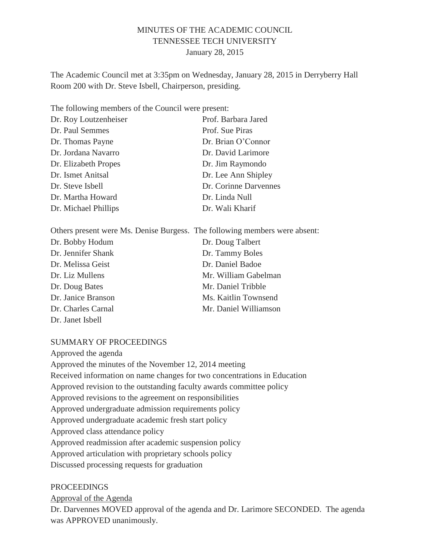## MINUTES OF THE ACADEMIC COUNCIL TENNESSEE TECH UNIVERSITY January 28, 2015

The Academic Council met at 3:35pm on Wednesday, January 28, 2015 in Derryberry Hall Room 200 with Dr. Steve Isbell, Chairperson, presiding.

The following members of the Council were present:

| Dr. Roy Loutzenheiser | Prof. Barbara Jared   |
|-----------------------|-----------------------|
| Dr. Paul Semmes       | Prof. Sue Piras       |
| Dr. Thomas Payne      | Dr. Brian O'Connor    |
| Dr. Jordana Navarro   | Dr. David Larimore    |
| Dr. Elizabeth Propes  | Dr. Jim Raymondo      |
| Dr. Ismet Anitsal     | Dr. Lee Ann Shipley   |
| Dr. Steve Isbell      | Dr. Corinne Darvennes |
| Dr. Martha Howard     | Dr. Linda Null        |
| Dr. Michael Phillips  | Dr. Wali Kharif       |

| Others present were Ms. Denise Burgess. The following members were absent: |                       |
|----------------------------------------------------------------------------|-----------------------|
| Dr. Bobby Hodum                                                            | Dr. Doug Talbert      |
| Dr. Jennifer Shank                                                         | Dr. Tammy Boles       |
| Dr. Melissa Geist                                                          | Dr. Daniel Badoe      |
| Dr. Liz Mullens                                                            | Mr. William Gabelman  |
| Dr. Doug Bates                                                             | Mr. Daniel Tribble    |
| Dr. Janice Branson                                                         | Ms. Kaitlin Townsend  |
| Dr. Charles Carnal                                                         | Mr. Daniel Williamson |
| Dr. Janet Isbell                                                           |                       |

#### SUMMARY OF PROCEEDINGS

Approved the agenda Approved the minutes of the November 12, 2014 meeting Received information on name changes for two concentrations in Education Approved revision to the outstanding faculty awards committee policy Approved revisions to the agreement on responsibilities Approved undergraduate admission requirements policy Approved undergraduate academic fresh start policy Approved class attendance policy Approved readmission after academic suspension policy Approved articulation with proprietary schools policy Discussed processing requests for graduation

#### PROCEEDINGS

Approval of the Agenda Dr. Darvennes MOVED approval of the agenda and Dr. Larimore SECONDED. The agenda was APPROVED unanimously.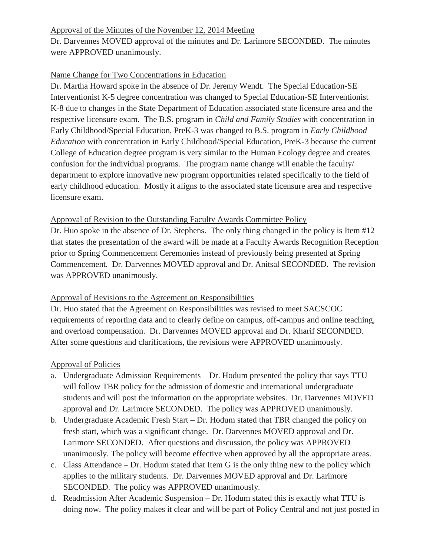# Approval of the Minutes of the November 12, 2014 Meeting

Dr. Darvennes MOVED approval of the minutes and Dr. Larimore SECONDED. The minutes were APPROVED unanimously.

## Name Change for Two Concentrations in Education

Dr. Martha Howard spoke in the absence of Dr. Jeremy Wendt. The Special Education-SE Interventionist K-5 degree concentration was changed to Special Education-SE Interventionist K-8 due to changes in the State Department of Education associated state licensure area and the respective licensure exam. The B.S. program in *Child and Family Studies* with concentration in Early Childhood/Special Education, PreK-3 was changed to B.S. program in *Early Childhood Education* with concentration in Early Childhood/Special Education, PreK-3 because the current College of Education degree program is very similar to the Human Ecology degree and creates confusion for the individual programs. The program name change will enable the faculty/ department to explore innovative new program opportunities related specifically to the field of early childhood education. Mostly it aligns to the associated state licensure area and respective licensure exam.

#### Approval of Revision to the Outstanding Faculty Awards Committee Policy

Dr. Huo spoke in the absence of Dr. Stephens. The only thing changed in the policy is Item #12 that states the presentation of the award will be made at a Faculty Awards Recognition Reception prior to Spring Commencement Ceremonies instead of previously being presented at Spring Commencement. Dr. Darvennes MOVED approval and Dr. Anitsal SECONDED. The revision was APPROVED unanimously.

# Approval of Revisions to the Agreement on Responsibilities

Dr. Huo stated that the Agreement on Responsibilities was revised to meet SACSCOC requirements of reporting data and to clearly define on campus, off-campus and online teaching, and overload compensation. Dr. Darvennes MOVED approval and Dr. Kharif SECONDED. After some questions and clarifications, the revisions were APPROVED unanimously.

#### Approval of Policies

- a. Undergraduate Admission Requirements Dr. Hodum presented the policy that says TTU will follow TBR policy for the admission of domestic and international undergraduate students and will post the information on the appropriate websites. Dr. Darvennes MOVED approval and Dr. Larimore SECONDED. The policy was APPROVED unanimously.
- b. Undergraduate Academic Fresh Start Dr. Hodum stated that TBR changed the policy on fresh start, which was a significant change. Dr. Darvennes MOVED approval and Dr. Larimore SECONDED. After questions and discussion, the policy was APPROVED unanimously. The policy will become effective when approved by all the appropriate areas.
- c. Class Attendance Dr. Hodum stated that Item G is the only thing new to the policy which applies to the military students. Dr. Darvennes MOVED approval and Dr. Larimore SECONDED. The policy was APPROVED unanimously.
- d. Readmission After Academic Suspension Dr. Hodum stated this is exactly what TTU is doing now. The policy makes it clear and will be part of Policy Central and not just posted in